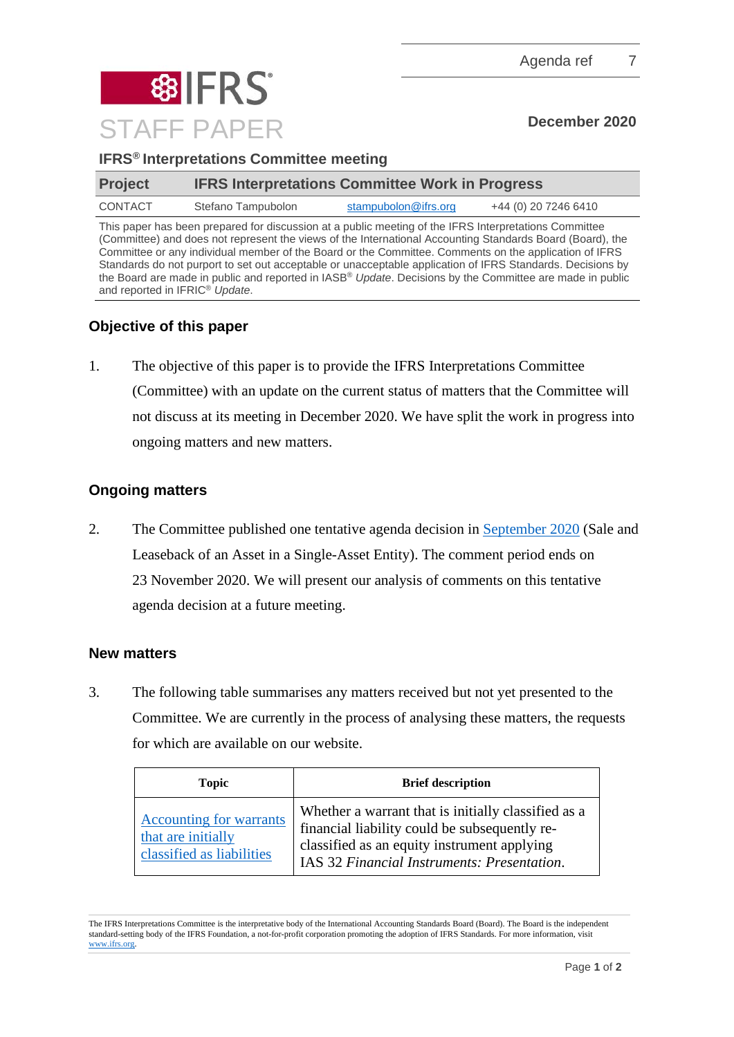Agenda ref 7



| <b>IFRS®</b> Interpretations Committee meeting |  |  |
|------------------------------------------------|--|--|
|------------------------------------------------|--|--|

| <b>Project</b> |                    | <b>IFRS Interpretations Committee Work in Progress</b>                                                |                      |  |
|----------------|--------------------|-------------------------------------------------------------------------------------------------------|----------------------|--|
| CONTACT        | Stefano Tampubolon | stampubolon@ifrs.org                                                                                  | +44 (0) 20 7246 6410 |  |
|                |                    | This paper has been prepared for discussion at a public meeting of the IFRS Interpretations Committee |                      |  |

This paper has been prepared for discussion at a public meeting of the IFRS Interpretations Committee (Committee) and does not represent the views of the International Accounting Standards Board (Board), the Committee or any individual member of the Board or the Committee. Comments on the application of IFRS Standards do not purport to set out acceptable or unacceptable application of IFRS Standards. Decisions by the Board are made in public and reported in IASB® *Update*. Decisions by the Committee are made in public and reported in IFRIC® *Update*.

## **Objective of this paper**

1. The objective of this paper is to provide the IFRS Interpretations Committee (Committee) with an update on the current status of matters that the Committee will not discuss at its meeting in December 2020. We have split the work in progress into ongoing matters and new matters.

## **Ongoing matters**

2. The Committee published one tentative agenda decision in [September 2020](https://www.ifrs.org/news-and-events/updates/ifric-updates/september-2020/) (Sale and Leaseback of an Asset in a Single-Asset Entity). The comment period ends on 23 November 2020. We will present our analysis of comments on this tentative agenda decision at a future meeting.

## **New matters**

3. The following table summarises any matters received but not yet presented to the Committee. We are currently in the process of analysing these matters, the requests for which are available on our website.

| <b>Topic</b>                                                                      | <b>Brief description</b>                                                                                                                                                                           |
|-----------------------------------------------------------------------------------|----------------------------------------------------------------------------------------------------------------------------------------------------------------------------------------------------|
| <b>Accounting for warrants</b><br>that are initially<br>classified as liabilities | Whether a warrant that is initially classified as a<br>financial liability could be subsequently re-<br>classified as an equity instrument applying<br>IAS 32 Financial Instruments: Presentation. |

The IFRS Interpretations Committee is the interpretative body of the International Accounting Standards Board (Board). The Board is the independent standard-setting body of the IFRS Foundation, a not-for-profit corporation promoting the adoption of IFRS Standards. For more information, visit [www.ifrs.org.](http://www.ifrs.org/)